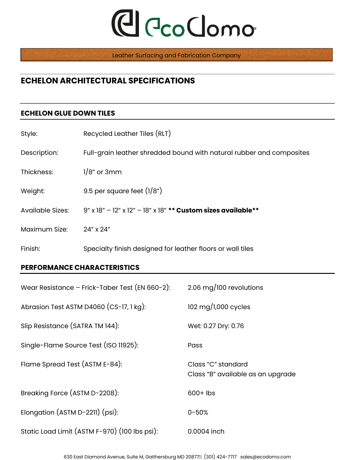## **C**lecoClomo

Leather Surfacing and Fabrication Company

### **ECHELON ARCHITECTURAL SPECIFICATIONS**

#### **ECHELON GLUE DOWN TILES**

| Style:           | Recycled Leather Tiles (RLT)                                         |
|------------------|----------------------------------------------------------------------|
| Description:     | Full-grain leather shredded bound with natural rubber and composites |
| Thickness:       | $1/8$ " or 3mm                                                       |
| Weight:          | 9.5 per square feet $(1/8n)$                                         |
| Available Sizes: | 9" x 18" - 12" x 12" - 18" x 18" ** Custom sizes available**         |
| Maximum Size:    | 24" x 24"                                                            |
| Finish:          | Specialty finish designed for leather floors or wall tiles           |

#### **PERFORMANCE CHARACTERISTICS**

| Wear Resistance - Frick-Taber Test (EN 660-2): | 2.06 mg/100 revolutions                                 |
|------------------------------------------------|---------------------------------------------------------|
| Abrasion Test ASTM D4060 (CS-17, 1 kg):        | 102 mg/1,000 cycles                                     |
| Slip Resistance (SATRA TM 144):                | Wet: 0.27 Dry: 0.76                                     |
| Single-Flame Source Test (ISO 11925):          | Pass                                                    |
| Flame Spread Test (ASTM E-84):                 | Class "C" standard<br>Class "B" available as an upgrade |
| Breaking Force (ASTM D-2208):                  | $600+$ lbs                                              |
| Elongation (ASTM D-2211) (psi):                | $0 - 50%$                                               |
| Static Load Limit (ASTM F-970) (100 lbs psi):  | 0.0004 inch                                             |